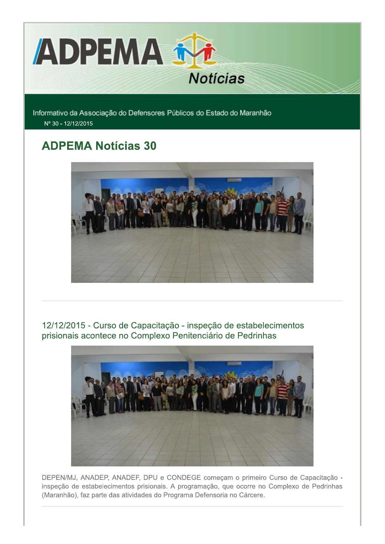

Informativo da Associação do Defensores Públicos do Estado do Maranhão Nº 30 - 12/12/2015

# **ADPEMA Notícias 30**



12/12/2015 - Curso de Capacitação - inspeção de estabelecimentos prisionais acontece no Complexo Penitenciário de Pedrinhas



DEPEN/MJ, ANADEP, ANADEF, DPU e CONDEGE começam o primeiro Curso de Capacitação inspeção de estabelecimentos prisionais. A programação, que ocorre no Complexo de Pedrinhas (Maranhão), faz parte das atividades do Programa Defensoria no Cárcere.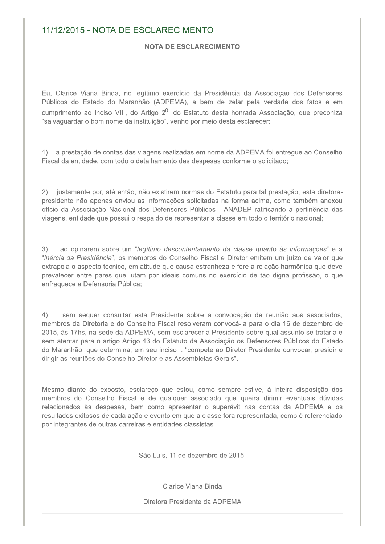# 11/12/2015 - NOTA DE ESCLARECIMENTO

#### NOTA DE ESCLARECIMENTO

Eu, Clarice Viana Binda, no legítimo exercício da Presidência da Associação dos Defensores Públicos do Estado do Maranhão (ADPEMA), a bem de zelar pela verdade dos fatos e em cumprimento ao inciso VIII, do Artigo 2<sup>0,</sup> do Estatuto desta honrada Associação, que preconiza "salvaguardar o bom nome da instituição", venho por meio desta esclarecer:

1) a prestação de contas das viagens realizadas em nome da ADPEMA foi entregue ao Conselho Fiscal da entidade, com todo o detalhamento das despesas conforme o solicitado;

2) justamente por, até então, não existirem normas do Estatuto para tal prestação, esta diretorapresidente não apenas enviou as informações solicitadas na forma acima, como também anexou ofício da Associação Nacional dos Defensores Públicos - ANADEP ratificando a pertinência das viagens, entidade que possui o respaldo de representar a classe em todo o território nacional;

 $3)$ ao opinarem sobre um "legítimo descontentamento da classe quanto às informações" e a "inércia da Presidência", os membros do Conselho Fiscal e Diretor emitem um juízo de valor que extrapola o aspecto técnico, em atitude que causa estranheza e fere a relação harmônica que deve prevalecer entre pares que lutam por ideais comuns no exercício de tão digna profissão, o que enfraquece a Defensoria Pública;

 $4)$ sem sequer consultar esta Presidente sobre a convocação de reunião aos associados, membros da Diretoria e do Conselho Fiscal resolveram convocá-la para o dia 16 de dezembro de 2015, às 17hs, na sede da ADPEMA, sem esclarecer à Presidente sobre qual assunto se trataria e sem atentar para o artigo Artigo 43 do Estatuto da Associação os Defensores Públicos do Estado do Maranhão, que determina, em seu inciso I: "compete ao Diretor Presidente convocar, presidir e dirigir as reuniões do Conselho Diretor e as Assembleias Gerais".

Mesmo diante do exposto, esclareco que estou, como sempre estive, à inteira disposição dos membros do Conselho Fiscal e de qualquer associado que queira dirimir eventuais dúvidas relacionados às despesas, bem como apresentar o superávit nas contas da ADPEMA e os resultados exitosos de cada ação e evento em que a classe fora representada, como é referenciado por integrantes de outras carreiras e entidades classistas.

São Luís, 11 de dezembro de 2015.

Clarice Viana Binda

Diretora Presidente da ADPEMA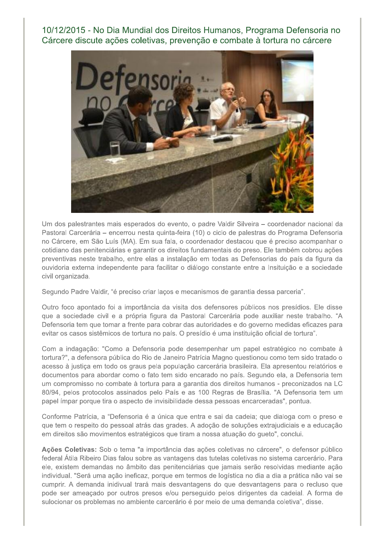10/12/2015 - No Dia Mundial dos Direitos Humanos, Programa Defensoria no Cárcere discute ações coletivas, prevenção e combate à tortura no cárcere



Um dos palestrantes mais esperados do evento, o padre Valdir Silveira - coordenador nacional da Pastoral Carcerária – encerrou nesta quinta-feira (10) o ciclo de palestras do Programa Defensoria no Cárcere, em São Luís (MA). Em sua fala, o coordenador destacou que é preciso acompanhar o cotidiano das penitenciárias e garantir os direitos fundamentais do preso. Ele também cobrou ações preventivas neste trabalho, entre elas a instalação em todas as Defensorias do país da figura da ouvidoria externa independente para facilitar o diálogo constante entre a Insituição e a sociedade civil organizada.

Segundo Padre Valdir, "é preciso criar laços e mecanismos de garantia dessa parceria".

Outro foco apontado foi a importância da visita dos defensores públicos nos presídios. Ele disse que a sociedade civil e a própria figura da Pastoral Carcerária pode auxiliar neste trabalho. "A Defensoria tem que tomar a frente para cobrar das autoridades e do governo medidas eficazes para evitar os casos sistêmicos de tortura no país. O presídio é uma instituição oficial de tortura".

Com a indagação: "Como a Defensoria pode desempenhar um papel estratégico no combate à tortura?", a defensora pública do Rio de Janeiro Patrícia Magno questionou como tem sido tratado o acesso à justica em todo os graus pela população carcerária brasileira. Ela apresentou relatórios e documentos para abordar como o fato tem sido encarado no país. Segundo ela, a Defensoria tem um compromisso no combate à tortura para a garantia dos direitos humanos - preconizados na LC 80/94, pelos protocolos assinados pelo País e as 100 Regras de Brasília. "A Defensoria tem um papel ímpar porque tira o aspecto de invisibilidade dessa pessoas encarceradas", pontua.

Conforme Patrícia, a "Defensoria é a única que entra e sai da cadeia; que dialoga com o preso e que tem o respeito do pessoal atrás das grades. A adoção de soluções extrajudiciais e a educação em direitos são movimentos estratégicos que tiram a nossa atuação do gueto", conclui.

Ações Coletivas: Sob o tema "a importância das ações coletivas no cárcere", o defensor público federal Átila Ribeiro Dias falou sobre as vantagens das tutelas coletivas no sistema carcerário. Para ele, existem demandas no âmbito das penitenciárias que jamais serão resolvidas mediante ação individual. "Será uma ação ineficaz, porque em termos de logística no dia a dia a prática não vai se cumprir. A demanda inidivual trará mais desvantagens do que desvantagens para o recluso que pode ser ameaçado por outros presos e/ou perseguido pelos dirigentes da cadeial. A forma de sulocionar os problemas no ambiente carcerário é por meio de uma demanda coletiva", disse.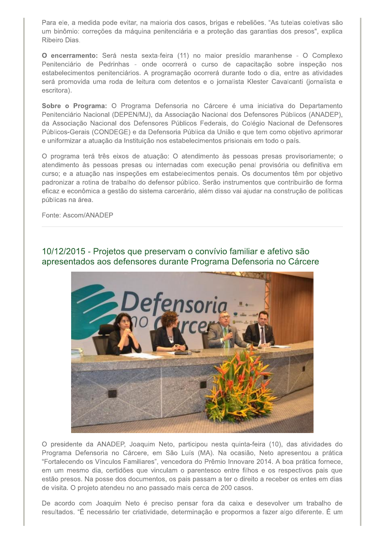Para ele, a medida pode evitar, na maioria dos casos, brigas e rebeliões. "As tutelas coletivas são um binômio: correções da máquina penitenciária e a proteção das garantias dos presos", explica Ribeiro Dias.

O encerramento: Será nesta sexta-feira (11) no maior presídio maranhense - O Complexo Penitenciário de Pedrinhas - onde ocorrerá o curso de capacitação sobre inspeção nos estabelecimentos penitenciários. A programação ocorrerá durante todo o dia, entre as atividades será promovida uma roda de leitura com detentos e o jornalista Klester Cavalcanti (jornalista e escritora).

Sobre o Programa: O Programa Defensoria no Cárcere é uma iniciativa do Departamento Penitenciário Nacional (DEPEN/MJ), da Associação Nacional dos Defensores Públicos (ANADEP), da Associação Nacional dos Defensores Públicos Federais, do Colégio Nacional de Defensores Públicos-Gerais (CONDEGE) e da Defensoria Pública da União e que tem como objetivo aprimorar e uniformizar a atuação da Instituição nos estabelecimentos prisionais em todo o país.

O programa terá três eixos de atuação: O atendimento às pessoas presas provisoriamente; o atendimento às pessoas presas ou internadas com execução penal provisória ou definitiva em curso; e a atuação nas inspeções em estabelecimentos penais. Os documentos têm por objetivo padronizar a rotina de trabalho do defensor público. Serão instrumentos que contribuirão de forma eficaz e econômica a gestão do sistema carcerário, além disso vai ajudar na construção de políticas públicas na área.

Fonte: Ascom/ANADEP



10/12/2015 - Projetos que preservam o convívio familiar e afetivo são apresentados aos defensores durante Programa Defensoria no Cárcere

O presidente da ANADEP, Joaquim Neto, participou nesta quinta-feira (10), das atividades do Programa Defensoria no Cárcere, em São Luís (MA). Na ocasião, Neto apresentou a prática "Fortalecendo os Vínculos Familiares", vencedora do Prêmio Innovare 2014. A boa prática fornece, em um mesmo dia, certidões que vinculam o parentesco entre filhos e os respectivos pais que estão presos. Na posse dos documentos, os pais passam a ter o direito a receber os entes em dias de visita. O projeto atendeu no ano passado mais cerca de 200 casos.

De acordo com Joaquim Neto é preciso pensar fora da caixa e desevolver um trabalho de resultados. "É necessário ter criatividade, determinação e propormos a fazer algo diferente. É um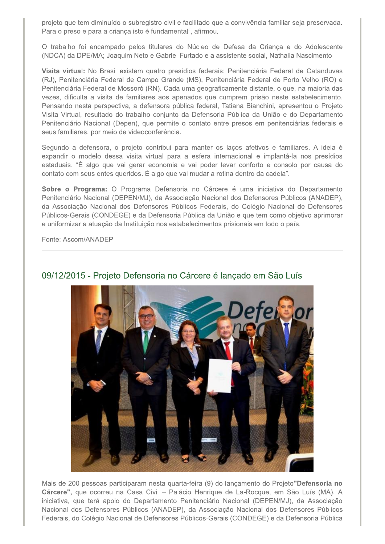projeto que tem diminuído o subregistro civil e facilitado que a convivência familiar seja preservada. Para o preso e para a criança isto é fundamental", afirmou.

O trabalho foi encampado pelos titulares do Núcleo de Defesa da Crianca e do Adolescente (NDCA) da DPE/MA; Joaquim Neto e Gabriel Furtado e a assistente social, Nathalia Nascimento.

Visita virtual: No Brasil existem quatro presídios federais: Penitenciária Federal de Catanduvas (RJ), Penitenciária Federal de Campo Grande (MS), Penitenciária Federal de Porto Velho (RO) e Penitenciária Federal de Mossoró (RN). Cada uma geograficamente distante, o que, na maioria das vezes, dificulta a visita de familiares aos apenados que cumprem prisão neste estabelecimento. Pensando nesta perspectiva, a defensora pública federal, Tatiana Bianchini, apresentou o Projeto Visita Virtual, resultado do trabalho conjunto da Defensoria Pública da União e do Departamento Penitenciário Nacional (Depen), que permite o contato entre presos em penitenciárias federais e seus familiares, por meio de videoconferência.

Segundo a defensora, o projeto contribui para manter os laços afetivos e familiares. A ideia é expandir o modelo dessa visita virtual para a esfera internacional e implantá-la nos presídios estaduais. "É algo que vai gerar economia e vai poder levar conforto e consolo por causa do contato com seus entes queridos. É algo que vai mudar a rotina dentro da cadeia".

Sobre o Programa: O Programa Defensoria no Cárcere é uma iniciativa do Departamento Penitenciário Nacional (DEPEN/MJ), da Associação Nacional dos Defensores Públicos (ANADEP), da Associação Nacional dos Defensores Públicos Federais, do Colégio Nacional de Defensores Públicos-Gerais (CONDEGE) e da Defensoria Pública da União e que tem como objetivo aprimorar e uniformizar a atuação da Instituição nos estabelecimentos prisionais em todo o país.

Fonte: Ascom/ANADEP



# 09/12/2015 - Projeto Defensoria no Cárcere é lançado em São Luís

Mais de 200 pessoas participaram nesta quarta-feira (9) do lançamento do Projeto"Defensoria no Cárcere", que ocorreu na Casa Civil - Palácio Henrique de La-Rocque, em São Luís (MA). A iniciativa, que terá apoio do Departamento Penitenciário Nacional (DEPEN/MJ), da Associação Nacional dos Defensores Públicos (ANADEP), da Associação Nacional dos Defensores Públicos Federais, do Colégio Nacional de Defensores Públicos-Gerais (CONDEGE) e da Defensoria Pública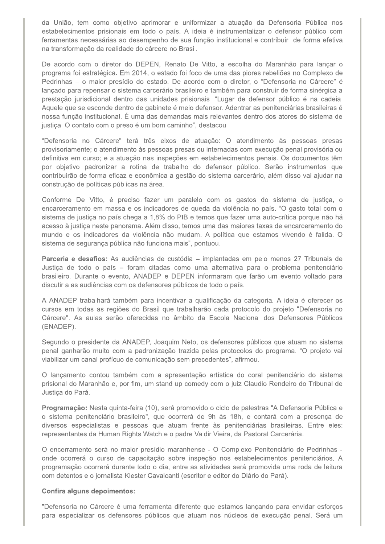da União, tem como objetivo aprimorar e uniformizar a atuação da Defensoria Pública nos estabelecimentos prisionais em todo o país. A ideia é instrumentalizar o defensor público com ferramentas necessárias ao desempenho de sua função institucional e contribuir de forma efetiva na transformação da realidade do cárcere no Brasil.

De acordo com o diretor do DEPEN, Renato De Vitto, a escolha do Maranhão para lançar o programa foi estratégica. Em 2014, o estado foi foco de uma das piores rebeliões no Complexo de Pedrinhas - o maior presídio do estado. De acordo com o diretor, o "Defensoria no Cárcere" é lancado para repensar o sistema carcerário brasileiro e também para construir de forma sinérgica a prestação jurisdicional dentro das unidades prisionais. "Lugar de defensor público é na cadeia. Aquele que se esconde dentro de gabinete é meio defensor. Adentrar as penitenciárias brasileiras é nossa função institucional. É uma das demandas mais relevantes dentro dos atores do sistema de justiça. O contato com o preso é um bom caminho", destacou.

"Defensoria no Cárcere" terá três eixos de atuação: O atendimento às pessoas presas provisoriamente; o atendimento às pessoas presas ou internadas com execução penal provisória ou definitiva em curso; e a atuação nas inspeções em estabelecimentos penais. Os documentos têm por objetivo padronizar a rotina de trabalho do defensor público. Serão instrumentos que contribuirão de forma eficaz e econômica a gestão do sistema carcerário, além disso vai ajudar na construção de políticas públicas na área.

Conforme De Vitto, é preciso fazer um paralelo com os gastos do sistema de justiça, o encarceramento em massa e os indicadores de queda da violência no país. "O gasto total com o sistema de justica no país chega a 1,8% do PIB e temos que fazer uma auto-crítica porque não há acesso à justiça neste panorama. Além disso, temos uma das maiores taxas de encarceramento do mundo e os indicadores da violência não mudam. A política que estamos vivendo é falida. O sistema de segurança pública não funciona mais", pontuou.

Parceria e desafios: As audiências de custódia – implantadas em pelo menos 27 Tribunais de Justiça de todo o país - foram citadas como uma alternativa para o problema penitenciário brasileiro. Durante o evento, ANADEP e DEPEN informaram que farão um evento voltado para discutir a as audiências com os defensores públicos de todo o país.

A ANADEP trabalhará também para incentivar a qualificação da categoria. A ideia é oferecer os cursos em todas as regiões do Brasil que trabalharão cada protocolo do projeto "Defensoria no Cárcere". As aulas serão oferecidas no âmbito da Escola Nacional dos Defensores Públicos (ENADEP).

Segundo o presidente da ANADEP, Joaquim Neto, os defensores públicos que atuam no sistema penal ganharão muito com a padronização trazida pelas protocolos do programa. "O projeto vai viabilizar um canal profícuo de comunicação sem precedentes", afirmou.

O lançamento contou também com a apresentação artística do coral penitenciário do sistema prisional do Maranhão e, por fim, um stand up comedy com o juiz Claudio Rendeiro do Tribunal de Justica do Pará.

Programação: Nesta quinta-feira (10), será promovido o ciclo de palestras "A Defensoria Pública e o sistema penitenciário brasileiro", que ocorrerá de 9h às 18h, e contará com a presença de diversos especialistas e pessoas que atuam frente às penitenciárias brasileiras. Entre eles: representantes da Human Rights Watch e o padre Valdir Vieira, da Pastoral Carcerária.

O encerramento será no maior presídio maranhense - O Complexo Penitenciário de Pedrinhas onde ocorrerá o curso de capacitação sobre inspeção nos estabelecimentos penitenciários. A programação ocorrerá durante todo o dia, entre as atividades será promovida uma roda de leitura com detentos e o jornalista Klester Cavalcanti (escritor e editor do Diário do Pará).

#### Confira alguns depoimentos:

"Defensoria no Cárcere é uma ferramenta diferente que estamos lançando para envidar esforços para especializar os defensores públicos que atuam nos núcleos de execução penal. Será um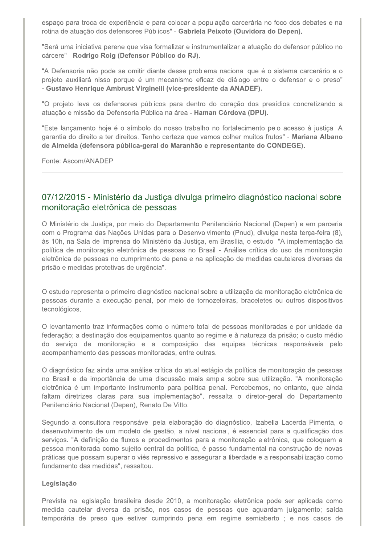espaço para troca de experiência e para colocar a população carcerária no foco dos debates e na rotina de atuação dos defensores Públicos" - Gabriela Peixoto (Ouvidora do Depen).

"Será uma iniciativa perene que visa formalizar e instrumentalizar a atuação do defensor público no cárcere" - Rodrigo Roig (Defensor Público do RJ).

"A Defensoria não pode se omitir diante desse problema nacional que é o sistema carcerário e o projeto auxiliará nisso porque é um mecanismo eficaz de diálogo entre o defensor e o preso" - Gustavo Henrique Ambrust Virginelli (vice-presidente da ANADEF).

"O projeto leva os defensores públicos para dentro do coração dos presídios concretizando a atuação e missão da Defensoria Pública na área - Haman Córdova (DPU).

"Este lançamento hoje é o símbolo do nosso trabalho no fortalecimento pelo acesso à justiça. A garantia do direito a ter direitos. Tenho certeza que vamos colher muitos frutos" - Mariana Albano de Almeida (defensora pública-geral do Maranhão e representante do CONDEGE).

Fonte: Ascom/ANADEP

### 07/12/2015 - Ministério da Justiça divulga primeiro diagnóstico nacional sobre monitoração eletrônica de pessoas

O Ministério da Justiça, por meio do Departamento Penitenciário Nacional (Depen) e em parceria com o Programa das Nações Unidas para o Desenvolvimento (Pnud), divulga nesta terça-feira (8), às 10h, na Sala de Imprensa do Ministério da Justiça, em Brasília, o estudo "A implementação da política de monitoração eletrônica de pessoas no Brasil - Análise crítica do uso da monitoração eletrônica de pessoas no cumprimento de pena e na aplicação de medidas cautelares diversas da prisão e medidas protetivas de urgência".

O estudo representa o primeiro diagnóstico nacional sobre a utilização da monitoração eletrônica de pessoas durante a execução penal, por meio de tornozeleiras, braceletes ou outros dispositivos tecnológicos.

O levantamento traz informações como o número total de pessoas monitoradas e por unidade da federação; a destinação dos equipamentos quanto ao regime e à natureza da prisão; o custo médio do servico de monitoração e a composição das equipes técnicas responsáveis pelo acompanhamento das pessoas monitoradas, entre outras.

O diagnóstico faz ainda uma análise crítica do atual estágio da política de monitoração de pessoas no Brasil e da importância de uma discussão mais ampla sobre sua utilização. "A monitoração eletrônica é um importante instrumento para política penal. Percebemos, no entanto, que ainda faltam diretrizes claras para sua implementação", ressalta o diretor-geral do Departamento Penitenciário Nacional (Depen), Renato De Vitto.

Segundo a consultora responsável pela elaboração do diagnóstico, Izabella Lacerda Pimenta, o desenvolvimento de um modelo de gestão, a nível nacional, é essencial para a qualificação dos serviços. "A definição de fluxos e procedimentos para a monitoração eletrônica, que coloquem a pessoa monitorada como sujeito central da política, é passo fundamental na construção de novas práticas que possam superar o viés repressivo e assegurar a liberdade e a responsabilização como fundamento das medidas", ressaltou.

#### Legislação

Prevista na legislação brasileira desde 2010, a monitoração eletrônica pode ser aplicada como medida cautelar diversa da prisão, nos casos de pessoas que aguardam julgamento; saída temporária de preso que estiver cumprindo pena em regime semiaberto ; e nos casos de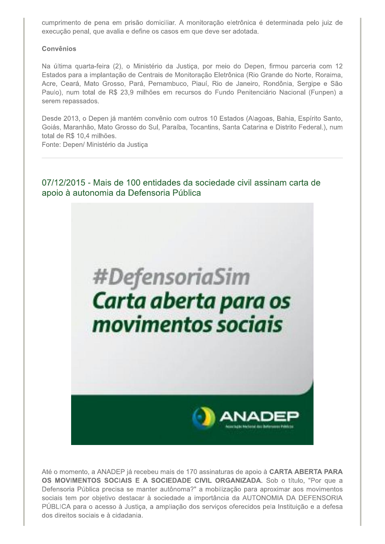cumprimento de pena em prisão domiciliar. A monitoração eletrônica é determinada pelo juiz de execução penal, que avalia e define os casos em que deve ser adotada.

#### Convênios

Na última quarta-feira (2), o Ministério da Justiça, por meio do Depen, firmou parceria com 12 Estados para a implantação de Centrais de Monitoração Eletrônica (Rio Grande do Norte, Roraima, Acre, Ceará, Mato Grosso, Pará, Pernambuco, Piauí, Rio de Janeiro, Rondônia, Sergipe e São Paulo), num total de R\$ 23,9 milhões em recursos do Fundo Penitenciário Nacional (Funpen) a serem repassados.

Desde 2013, o Depen já mantém convênio com outros 10 Estados (Alagoas, Bahia, Espírito Santo, Goiás, Maranhão, Mato Grosso do Sul, Paraíba, Tocantins, Santa Catarina e Distrito Federal.), num total de R\$ 10,4 milhões.

Fonte: Depen/ Ministério da Justiça

## 07/12/2015 - Mais de 100 entidades da sociedade civil assinam carta de apoio à autonomia da Defensoria Pública



Até o momento, a ANADEP já recebeu mais de 170 assinaturas de apoio à CARTA ABERTA PARA OS MOVIMENTOS SOCIAIS E A SOCIEDADE CIVIL ORGANIZADA. Sob o título, "Por que a Defensoria Pública precisa se manter autônoma?" a mobilização para aproximar aos movimentos sociais tem por objetivo destacar à sociedade a importância da AUTONOMIA DA DEFENSORIA PÚBLICA para o acesso à Justiça, a ampliação dos serviços oferecidos pela Instituição e a defesa dos direitos sociais e à cidadania.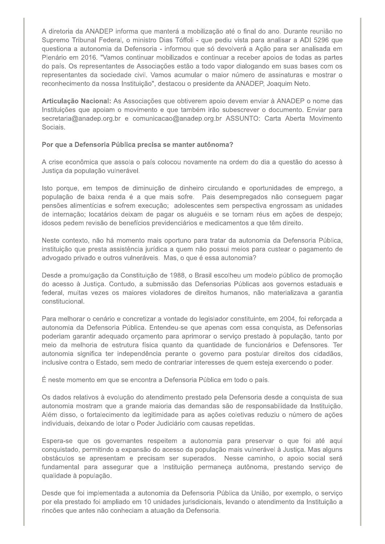A diretoria da ANADEP informa que manterá a mobilização até o final do ano. Durante reunião no Supremo Tribunal Federal, o ministro Dias Tóffoli - que pediu vista para analisar a ADI 5296 que questiona a autonomia da Defensoria - informou que só devolverá a Ação para ser analisada em Plenário em 2016. "Vamos continuar mobilizados e continuar a receber apoios de todas as partes do país. Os representantes de Associações estão a todo vapor dialogando em suas bases com os representantes da sociedade civil. Vamos acumular o maior número de assinaturas e mostrar o reconhecimento da nossa Instituição", destacou o presidente da ANADEP, Joaquim Neto.

Articulação Nacional: As Associações que obtiverem apoio devem enviar à ANADEP o nome das Instituições que apoiam o movimento e que também irão subescrever o documento. Enviar para secretaria@anadep.org.br e comunicacao@anadep.org.br ASSUNTO: Carta Aberta Movimento Sociais.

#### Por que a Defensoria Pública precisa se manter autônoma?

A crise econômica que assola o país colocou novamente na ordem do dia a questão do acesso à Justiça da população vulnerável.

Isto porque, em tempos de diminuição de dinheiro circulando e oportunidades de emprego, a população de baixa renda é a que mais sofre. Pais desempregados não conseguem pagar pensões alimentícias e sofrem execução; adolescentes sem perspectiva engrossam as unidades de internação; locatários deixam de pagar os aluguéis e se tornam réus em ações de despejo; idosos pedem revisão de benefícios previdenciários e medicamentos a que têm direito.

Neste contexto, não há momento mais oportuno para tratar da autonomia da Defensoria Pública, instituição que presta assistência jurídica a quem não possui meios para custear o pagamento de advogado privado e outros vulneráveis. Mas, o que é essa autonomia?

Desde a promulgação da Constituição de 1988, o Brasil escolheu um modelo público de promoção do acesso à Justiça. Contudo, a submissão das Defensorias Públicas aos governos estaduais e federal, muitas vezes os maiores violadores de direitos humanos, não materializava a garantia constitucional.

Para melhorar o cenário e concretizar a vontade do legislador constituinte, em 2004, foi reforcada a autonomia da Defensoria Pública. Entendeu-se que apenas com essa conquista, as Defensorias poderiam garantir adeguado orcamento para aprimorar o servico prestado à população, tanto por meio da melhoria de estrutura física quanto da quantidade de funcionários e Defensores. Ter autonomia significa ter independência perante o governo para postular direitos dos cidadãos, inclusive contra o Estado, sem medo de contrariar interesses de quem esteja exercendo o poder.

É neste momento em que se encontra a Defensoria Pública em todo o país.

Os dados relativos à evolução do atendimento prestado pela Defensoria desde a conquista de sua autonomia mostram que a grande maioria das demandas são de responsabilidade da Instituição. Além disso, o fortalecimento da legitimidade para as ações coletivas reduziu o número de ações individuais, deixando de lotar o Poder Judiciário com causas repetidas.

Espera-se que os governantes respeitem a autonomia para preservar o que foi até aqui conquistado, permitindo a expansão do acesso da população mais vulnerável à Justiça. Mas alguns obstáculos se apresentam e precisam ser superados. Nesse caminho, o apoio social será fundamental para assegurar que a Instituição permaneça autônoma, prestando serviço de qualidade à população.

Desde que foi implementada a autonomia da Defensoria Pública da União, por exemplo, o serviço por ela prestado foi ampliado em 10 unidades jurisdicionais, levando o atendimento da Instituição a rincões que antes não conheciam a atuação da Defensoria.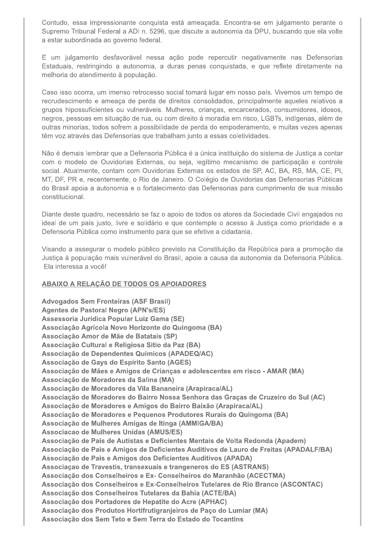Contudo, essa impressionante conquista está ameaçada. Encontra-se em julgamento perante o Supremo Tribunal Federal a ADI n. 5296, que discute a autonomia da DPU, buscando que ela volte a estar subordinada ao governo federal.

E um julgamento desfavorável nessa ação pode repercutir negativamente nas Defensorias Estaduais, restringindo a autonomia, a duras penas conquistada, e que reflete diretamente na melhoria do atendimento à população.

Caso isso ocorra, um imenso retrocesso social tomará lugar em nosso país. Vivemos um tempo de recrudescimento e ameaça de perda de direitos consolidados, principalmente aqueles relativos a grupos hipossuficientes ou vulneráveis. Mulheres, crianças, encarcerados, consumidores, idosos, negros, pessoas em situação de rua, ou com direito à moradia em risco, LGBTs, indígenas, além de outras minorias, todos sofrem a possibilidade de perda do empoderamento, e muitas vezes apenas têm voz através das Defensorias que trabalham junto a essas coletividades.

Não é demais lembrar que a Defensoria Pública é a única instituição do sistema de Justiça a contar com o modelo de Ouvidorias Externas, ou seja, legítimo mecanismo de participação e controle social. Atualmente, contam com Ouvidorias Externas os estados de SP, AC, BA, RS, MA, CE, PI, MT, DF, PR e, recentemente, o Rio de Janeiro. O Colégio de Ouvidorias das Defensorias Públicas do Brasil apoia a autonomia e o fortalecimento das Defensorias para cumprimento de sua missão constitucional.

Diante deste quadro, necessário se faz o apoio de todos os atores da Sociedade Civil engajados no ideal de um país justo, livre e solidário e que contemple o acesso à Justica como prioridade e a Defensoria Pública como instrumento para que se efetive a cidadania.

Visando a assegurar o modelo público previsto na Constituição da República para a promoção da Justiça à população mais vulnerável do Brasil, apoie a causa da autonomia da Defensoria Pública. Ela interessa a você!

#### ABAIXO A RELAÇÃO DE TODOS OS APOIADORES

**Advogados Sem Fronteiras (ASF Brasil) Agentes de Pastoral Negro (APN's/ES)** Assessoria Jurídica Popular Luiz Gama (SE) Associação Agrícola Novo Horizonte do Quingoma (BA) Associação Amor de Mãe de Batatais (SP) Associação Cultural e Religiosa Sitio da Paz (BA) Associação de Dependentes Químicos (APADEQ/AC) Associação de Gays do Espírito Santo (AGES) Associação de Mães e Amigos de Crianças e adolescentes em risco - AMAR (MA) Associação de Moradores da Salina (MA) Associação de Moradores da Vila Bananeira (Arapiraca/AL) Associação de Moradores do Bairro Nossa Senhora das Graças de Cruzeiro do Sul (AC) Associação de Moradores e Amigos do Bairro Baixão (Arapiraca/AL) Associação de Moradores e Pequenos Produtores Rurais do Quingoma (BA) Associação de Mulheres Amigas de Itinga (AMMIGA/BA) Associacao de Mulheres Unidas (AMUS/ES) Associação de Pais de Autistas e Deficientes Mentais de Volta Redonda (Apadem) Associação de Pais e Amigos de Deficientes Auditivos de Lauro de Freitas (APADALF/BA) Associação de Pais e Amigos dos Deficientes Auditivos (APADA) Associação de Travestis, transexuais e trangeneros do ES (ASTRANS) Associação dos Conselheiros e Ex- Conselheiros do Maranhão (ACECTMA) Associação dos Conselheiros e Ex-Conselheiros Tutelares de Rio Branco (ASCONTAC) Associação dos Conselheiros Tutelares da Bahia (ACTE/BA) Associação dos Portadores de Hepatite do Acre (APHAC) Associação dos Produtos Hortifrutigranjeiros de Paço do Lumiar (MA) Associação dos Sem Teto e Sem Terra do Estado do Tocantins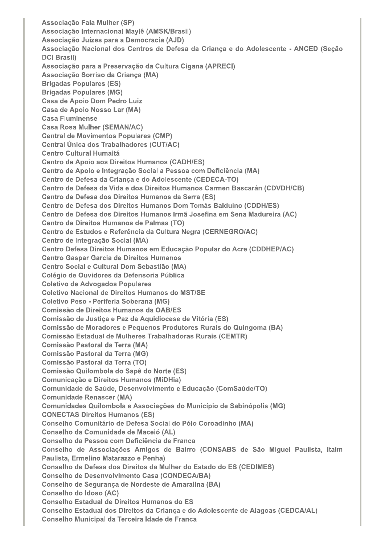Associação Fala Mulher (SP) Associação Internacional Maylê (AMSK/Brasil) Associação Juízes para a Democracia (AJD) Associação Nacional dos Centros de Defesa da Criança e do Adolescente - ANCED (Seção **DCI Brasil)** Associação para a Preservação da Cultura Cigana (APRECI) Associação Sorriso da Crianca (MA) **Brigadas Populares (ES) Brigadas Populares (MG) Casa de Apoio Dom Pedro Luiz** Casa de Apoio Nosso Lar (MA) **Casa Fluminense Casa Rosa Mulher (SEMAN/AC) Central de Movimentos Populares (CMP)** Central Única dos Trabalhadores (CUT/AC) **Centro Cultural Humaitá Centro de Apoio aos Direitos Humanos (CADH/ES)** Centro de Apoio e Integração Social a Pessoa com Deficiência (MA) Centro de Defesa da Criança e do Adolescente (CEDECA-TO) Centro de Defesa da Vida e dos Direitos Humanos Carmen Bascarán (CDVDH/CB) Centro de Defesa dos Direitos Humanos da Serra (ES) Centro de Defesa dos Direitos Humanos Dom Tomás Balduíno (CDDH/ES) Centro de Defesa dos Direitos Humanos Irmã Josefina em Sena Madureira (AC) Centro de Direitos Humanos de Palmas (TO) Centro de Estudos e Referência da Cultura Negra (CERNEGRO/AC) Centro de Integração Social (MA) Centro Defesa Direitos Humanos em Educação Popular do Acre (CDDHEP/AC) **Centro Gaspar Garcia de Direitos Humanos** Centro Social e Cultural Dom Sebastião (MA) Colégio de Ouvidores da Defensoria Pública **Coletivo de Advogados Populares Coletivo Nacional de Direitos Humanos do MST/SE** Coletivo Peso - Periferia Soberana (MG) **Comissão de Direitos Humanos da OAB/ES** Comissão de Justiça e Paz da Aquidiocese de Vitória (ES) Comissão de Moradores e Pequenos Produtores Rurais do Quingoma (BA) Comissão Estadual de Mulheres Trabalhadoras Rurais (CEMTR) **Comissão Pastoral da Terra (MA) Comissão Pastoral da Terra (MG)** Comissão Pastoral da Terra (TO) Comissão Quilombola do Sapê do Norte (ES) Comunicação e Direitos Humanos (MiDHia) Comunidade de Saúde, Desenvolvimento e Educação (ComSaúde/TO) **Comunidade Renascer (MA)** Comunidades Quilombola e Associações do Município de Sabinópolis (MG) **CONECTAS Direitos Humanos (ES)** Conselho Comunitário de Defesa Social do Pólo Coroadinho (MA) Conselho da Comunidade de Maceió (AL) Conselho da Pessoa com Deficiência de Franca Conselho de Associações Amigos de Bairro (CONSABS de São Miguel Paulista, Itaim Paulista, Ermelino Matarazzo e Penha) Conselho de Defesa dos Direitos da Mulher do Estado do ES (CEDIMES) **Conselho de Desenvolvimento Casa (CONDECA/BA)** Conselho de Segurança de Nordeste de Amaralina (BA) Conselho do Idoso (AC) **Conselho Estadual de Direitos Humanos do ES** Conselho Estadual dos Direitos da Criança e do Adolescente de Alagoas (CEDCA/AL) Conselho Municipal da Terceira Idade de Franca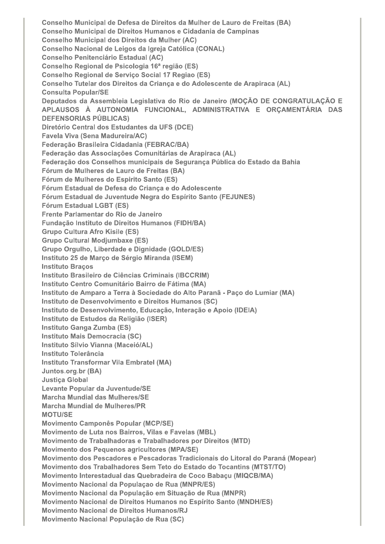Conselho Municipal de Defesa de Direitos da Mulher de Lauro de Freitas (BA) Conselho Municipal de Direitos Humanos e Cidadania de Campinas **Conselho Municipal dos Direitos da Mulher (AC)** Conselho Nacional de Leigos da Igreja Católica (CONAL) **Conselho Penitenciário Estadual (AC)** Conselho Regional de Psicologia 16<sup>ª</sup> região (ES) Conselho Regional de Serviço Social 17 Regiao (ES) Conselho Tutelar dos Direitos da Crianca e do Adolescente de Arapiraca (AL) **Consulta Popular/SE** Deputados da Assembleia Legislativa do Rio de Janeiro (MOÇÃO DE CONGRATULAÇÃO E APLAUSOS À AUTONOMIA FUNCIONAL, ADMINISTRATIVA E ORÇAMENTÁRIA DAS **DEFENSORIAS PÚBLICAS)** Diretório Central dos Estudantes da UFS (DCE) **Favela Viva (Sena Madureira/AC)** Federação Brasileira Cidadania (FEBRAC/BA) Federação das Associações Comunitárias de Arapiraca (AL) Federação dos Conselhos municipais de Segurança Pública do Estado da Bahia Fórum de Mulheres de Lauro de Freitas (BA) Fórum de Mulheres do Espirito Santo (ES) Fórum Estadual de Defesa do Criança e do Adolescente Fórum Estadual de Juventude Negra do Espírito Santo (FEJUNES) **Fórum Estadual LGBT (ES)** Frente Parlamentar do Rio de Janeiro Fundação Instituto de Direitos Humanos (FIDH/BA) **Grupo Cultura Afro Kisile (ES) Grupo Cultural Modjumbaxe (ES)** Grupo Orgulho, Liberdade e Dignidade (GOLD/ES) Instituto 25 de Março de Sérgio Miranda (ISEM) **Instituto Bracos** Instituto Brasileiro de Ciências Criminais (IBCCRIM) Instituto Centro Comunitário Bairro de Fátima (MA) Instituto de Amparo a Terra à Sociedade do Alto Paranã - Paço do Lumiar (MA) Instituto de Desenvolvimento e Direitos Humanos (SC) Instituto de Desenvolvimento, Educação, Interação e Apoio (IDEIA) Instituto de Estudos da Religião (ISER) Instituto Ganga Zumba (ES) Instituto Mais Democracia (SC) Instituto Sílvio Vianna (Maceió/AL) Instituto Tolerância Instituto Transformar Vila Embratel (MA) Juntos.org.br (BA) **Justica Global** Levante Popular da Juventude/SE **Marcha Mundial das Mulheres/SE** Marcha Mundial de Mulheres/PR **MOTU/SE Movimento Camponês Popular (MCP/SE)** Movimento de Luta nos Bairros, Vilas e Favelas (MBL) Movimento de Trabalhadoras e Trabalhadores por Direitos (MTD) Movimento dos Pequenos agricultores (MPA/SE) Movimento dos Pescadores e Pescadoras Tradicionais do Litoral do Paraná (Mopear) Movimento dos Trabalhadores Sem Teto do Estado do Tocantins (MTST/TO) Movimento Interestadual das Quebradeira de Coco Babaçu (MIQCB/MA) Movimento Nacional da População de Rua (MNPR/ES) Movimento Nacional da População em Situação de Rua (MNPR) Movimento Nacional de Direitos Humanos no Espírito Santo (MNDH/ES) Movimento Nacional de Direitos Humanos/RJ Movimento Nacional População de Rua (SC)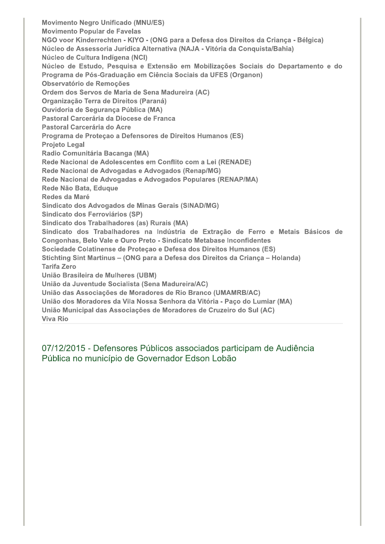**Movimento Negro Unificado (MNU/ES) Movimento Popular de Favelas** NGO voor Kinderrechten - KIYO - (ONG para a Defesa dos Direitos da Criança - Bélgica) Núcleo de Assessoria Jurídica Alternativa (NAJA - Vitória da Conquista/Bahia) Núcleo de Cultura Indígena (NCI) Núcleo de Estudo, Pesquisa e Extensão em Mobilizações Sociais do Departamento e do Programa de Pós-Graduação em Ciência Sociais da UFES (Organon) Observatório de Remocões Ordem dos Servos de Maria de Sena Madureira (AC) Organização Terra de Direitos (Paraná) **Ouvidoria de Segurança Pública (MA)** Pastoral Carcerária da Diocese de Franca Pastoral Carcerária do Acre Programa de Proteçao a Defensores de Direitos Humanos (ES) **Projeto Legal** Radio Comunitária Bacanga (MA) Rede Nacional de Adolescentes em Conflito com a Lei (RENADE) Rede Nacional de Advogadas e Advogados (Renap/MG) Rede Nacional de Advogadas e Advogados Populares (RENAP/MA) Rede Não Bata, Eduque Redes da Maré Sindicato dos Advogados de Minas Gerais (SINAD/MG) Sindicato dos Ferroviários (SP) Sindicato dos Trabalhadores (as) Rurais (MA) Sindicato dos Trabalhadores na Indústria de Extração de Ferro e Metais Básicos de Congonhas, Belo Vale e Ouro Preto - Sindicato Metabase Inconfidentes Sociedade Colatinense de Proteçao e Defesa dos Direitos Humanos (ES) Stichting Sint Martinus - (ONG para a Defesa dos Direitos da Criança - Holanda) **Tarifa Zero** União Brasileira de Mulheres (UBM) União da Juventude Socialista (Sena Madureira/AC) União das Associações de Moradores de Rio Branco (UMAMRB/AC) União dos Moradores da Vila Nossa Senhora da Vitória - Paço do Lumiar (MA) União Municipal das Associações de Moradores de Cruzeiro do Sul (AC) **Viva Rio** 

07/12/2015 - Defensores Públicos associados participam de Audiência Pública no município de Governador Edson Lobão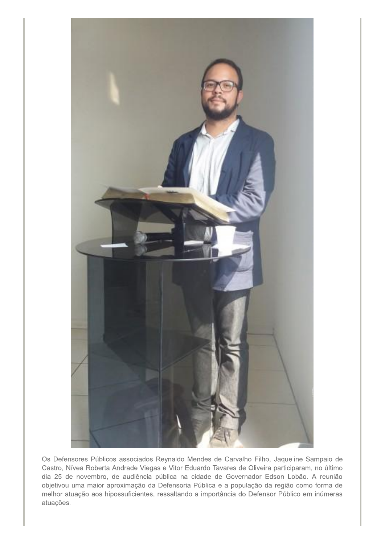

Os Defensores Públicos associados Reynaldo Mendes de Carvalho Filho, Jaqueline Sampaio de Castro, Nívea Roberta Andrade Viegas e Vitor Eduardo Tavares de Oliveira participaram, no último dia 25 de novembro, de audiência pública na cidade de Governador Edson Lobão. A reunião objetivou uma maior aproximação da Defensoria Pública e a população da região como forma de melhor atuação aos hipossuficientes, ressaltando a importância do Defensor Público em inúmeras atuações.